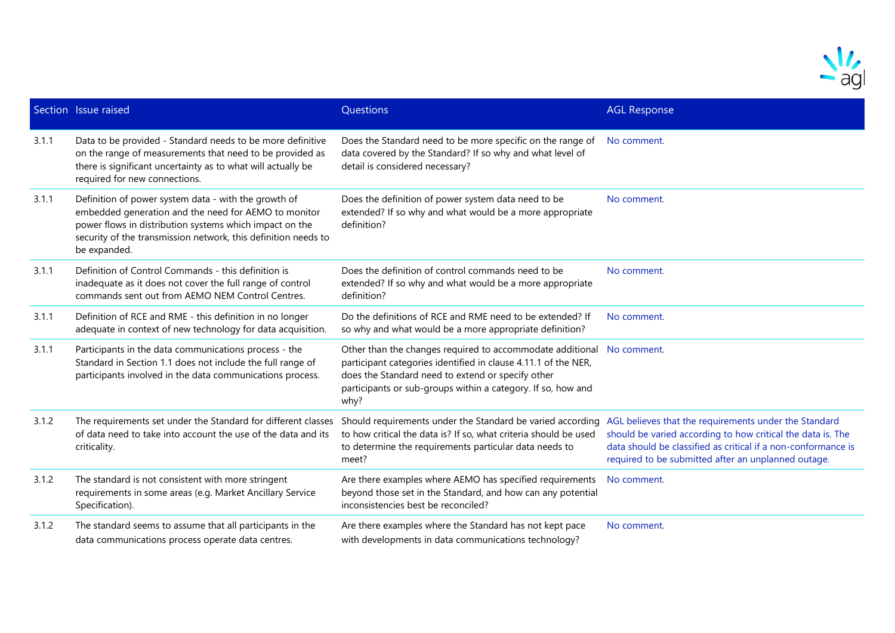

|       | Section Issue raised                                                                                                                                                                                                                                      | Questions                                                                                                                                                                                                                                                | <b>AGL Response</b>                                                                                                                                                                                                                          |
|-------|-----------------------------------------------------------------------------------------------------------------------------------------------------------------------------------------------------------------------------------------------------------|----------------------------------------------------------------------------------------------------------------------------------------------------------------------------------------------------------------------------------------------------------|----------------------------------------------------------------------------------------------------------------------------------------------------------------------------------------------------------------------------------------------|
| 3.1.1 | Data to be provided - Standard needs to be more definitive<br>on the range of measurements that need to be provided as<br>there is significant uncertainty as to what will actually be<br>required for new connections.                                   | Does the Standard need to be more specific on the range of<br>data covered by the Standard? If so why and what level of<br>detail is considered necessary?                                                                                               | No comment.                                                                                                                                                                                                                                  |
| 3.1.1 | Definition of power system data - with the growth of<br>embedded generation and the need for AEMO to monitor<br>power flows in distribution systems which impact on the<br>security of the transmission network, this definition needs to<br>be expanded. | Does the definition of power system data need to be<br>extended? If so why and what would be a more appropriate<br>definition?                                                                                                                           | No comment.                                                                                                                                                                                                                                  |
| 3.1.1 | Definition of Control Commands - this definition is<br>inadequate as it does not cover the full range of control<br>commands sent out from AEMO NEM Control Centres.                                                                                      | Does the definition of control commands need to be<br>extended? If so why and what would be a more appropriate<br>definition?                                                                                                                            | No comment.                                                                                                                                                                                                                                  |
| 3.1.1 | Definition of RCE and RME - this definition in no longer<br>adequate in context of new technology for data acquisition.                                                                                                                                   | Do the definitions of RCE and RME need to be extended? If<br>so why and what would be a more appropriate definition?                                                                                                                                     | No comment.                                                                                                                                                                                                                                  |
| 3.1.1 | Participants in the data communications process - the<br>Standard in Section 1.1 does not include the full range of<br>participants involved in the data communications process.                                                                          | Other than the changes required to accommodate additional<br>participant categories identified in clause 4.11.1 of the NER,<br>does the Standard need to extend or specify other<br>participants or sub-groups within a category. If so, how and<br>why? | No comment.                                                                                                                                                                                                                                  |
| 3.1.2 | The requirements set under the Standard for different classes<br>of data need to take into account the use of the data and its<br>criticality.                                                                                                            | Should requirements under the Standard be varied according<br>to how critical the data is? If so, what criteria should be used<br>to determine the requirements particular data needs to<br>meet?                                                        | AGL believes that the requirements under the Standard<br>should be varied according to how critical the data is. The<br>data should be classified as critical if a non-conformance is<br>required to be submitted after an unplanned outage. |
| 3.1.2 | The standard is not consistent with more stringent<br>requirements in some areas (e.g. Market Ancillary Service<br>Specification).                                                                                                                        | Are there examples where AEMO has specified requirements<br>beyond those set in the Standard, and how can any potential<br>inconsistencies best be reconciled?                                                                                           | No comment.                                                                                                                                                                                                                                  |
| 3.1.2 | The standard seems to assume that all participants in the<br>data communications process operate data centres.                                                                                                                                            | Are there examples where the Standard has not kept pace<br>with developments in data communications technology?                                                                                                                                          | No comment.                                                                                                                                                                                                                                  |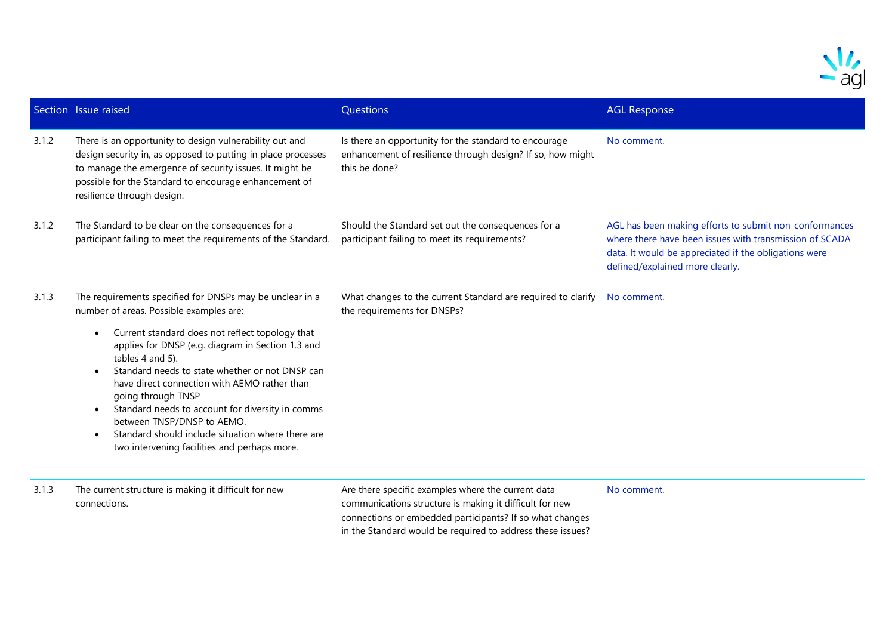

|       | Section Issue raised                                                                                                                                                                                                                                                                                                                                                                                                                                                                                                                                                      | Questions                                                                                                                                                                                                                               | <b>AGL Response</b>                                                                                                                                                                                           |
|-------|---------------------------------------------------------------------------------------------------------------------------------------------------------------------------------------------------------------------------------------------------------------------------------------------------------------------------------------------------------------------------------------------------------------------------------------------------------------------------------------------------------------------------------------------------------------------------|-----------------------------------------------------------------------------------------------------------------------------------------------------------------------------------------------------------------------------------------|---------------------------------------------------------------------------------------------------------------------------------------------------------------------------------------------------------------|
| 3.1.2 | There is an opportunity to design vulnerability out and<br>design security in, as opposed to putting in place processes<br>to manage the emergence of security issues. It might be<br>possible for the Standard to encourage enhancement of<br>resilience through design.                                                                                                                                                                                                                                                                                                 | Is there an opportunity for the standard to encourage<br>enhancement of resilience through design? If so, how might<br>this be done?                                                                                                    | No comment.                                                                                                                                                                                                   |
| 3.1.2 | The Standard to be clear on the consequences for a<br>participant failing to meet the requirements of the Standard.                                                                                                                                                                                                                                                                                                                                                                                                                                                       | Should the Standard set out the consequences for a<br>participant failing to meet its requirements?                                                                                                                                     | AGL has been making efforts to submit non-conformances<br>where there have been issues with transmission of SCADA<br>data. It would be appreciated if the obligations were<br>defined/explained more clearly. |
| 3.1.3 | The requirements specified for DNSPs may be unclear in a<br>number of areas. Possible examples are:<br>Current standard does not reflect topology that<br>$\bullet$<br>applies for DNSP (e.g. diagram in Section 1.3 and<br>tables 4 and 5).<br>Standard needs to state whether or not DNSP can<br>have direct connection with AEMO rather than<br>going through TNSP<br>Standard needs to account for diversity in comms<br>$\bullet$<br>between TNSP/DNSP to AEMO.<br>Standard should include situation where there are<br>two intervening facilities and perhaps more. | What changes to the current Standard are required to clarify<br>the requirements for DNSPs?                                                                                                                                             | No comment.                                                                                                                                                                                                   |
| 3.1.3 | The current structure is making it difficult for new<br>connections.                                                                                                                                                                                                                                                                                                                                                                                                                                                                                                      | Are there specific examples where the current data<br>communications structure is making it difficult for new<br>connections or embedded participants? If so what changes<br>in the Standard would be required to address these issues? | No comment.                                                                                                                                                                                                   |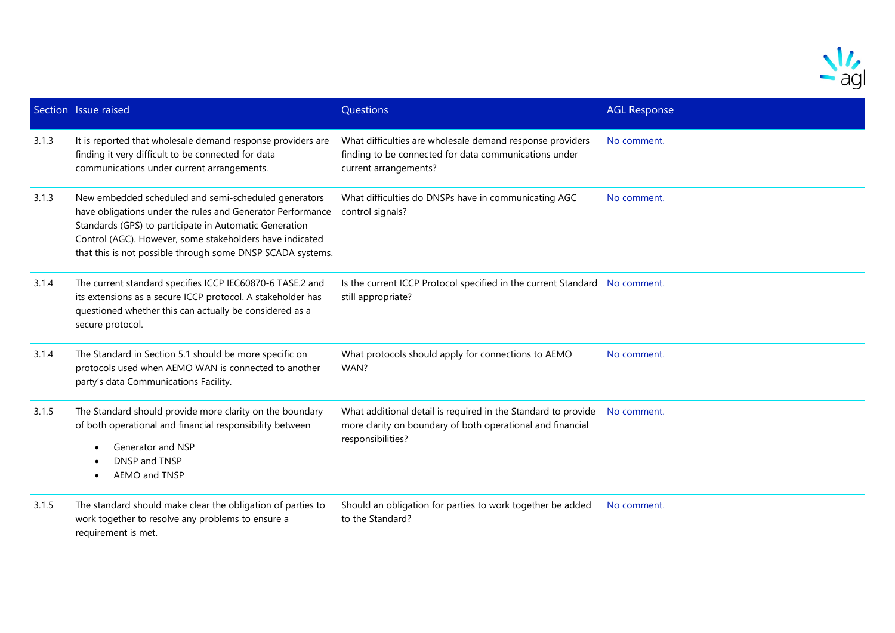

|       | Section Issue raised                                                                                                                                                                                                                                                                                   | Questions                                                                                                                                        | <b>AGL Response</b> |
|-------|--------------------------------------------------------------------------------------------------------------------------------------------------------------------------------------------------------------------------------------------------------------------------------------------------------|--------------------------------------------------------------------------------------------------------------------------------------------------|---------------------|
| 3.1.3 | It is reported that wholesale demand response providers are<br>finding it very difficult to be connected for data<br>communications under current arrangements.                                                                                                                                        | What difficulties are wholesale demand response providers<br>finding to be connected for data communications under<br>current arrangements?      | No comment.         |
| 3.1.3 | New embedded scheduled and semi-scheduled generators<br>have obligations under the rules and Generator Performance<br>Standards (GPS) to participate in Automatic Generation<br>Control (AGC). However, some stakeholders have indicated<br>that this is not possible through some DNSP SCADA systems. | What difficulties do DNSPs have in communicating AGC<br>control signals?                                                                         | No comment.         |
| 3.1.4 | The current standard specifies ICCP IEC60870-6 TASE.2 and<br>its extensions as a secure ICCP protocol. A stakeholder has<br>questioned whether this can actually be considered as a<br>secure protocol.                                                                                                | Is the current ICCP Protocol specified in the current Standard No comment.<br>still appropriate?                                                 |                     |
| 3.1.4 | The Standard in Section 5.1 should be more specific on<br>protocols used when AEMO WAN is connected to another<br>party's data Communications Facility.                                                                                                                                                | What protocols should apply for connections to AEMO<br>WAN?                                                                                      | No comment.         |
| 3.1.5 | The Standard should provide more clarity on the boundary<br>of both operational and financial responsibility between<br>Generator and NSP<br>DNSP and TNSP<br>AEMO and TNSP                                                                                                                            | What additional detail is required in the Standard to provide<br>more clarity on boundary of both operational and financial<br>responsibilities? | No comment.         |
| 3.1.5 | The standard should make clear the obligation of parties to<br>work together to resolve any problems to ensure a<br>requirement is met.                                                                                                                                                                | Should an obligation for parties to work together be added<br>to the Standard?                                                                   | No comment.         |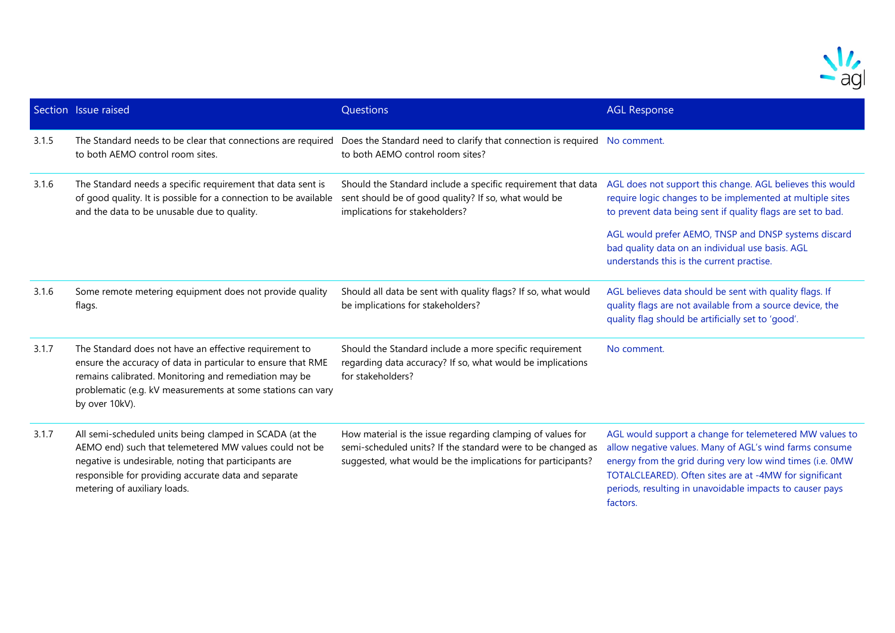

|       | Section Issue raised                                                                                                                                                                                                                                               | Questions                                                                                                                                                                                | <b>AGL Response</b>                                                                                                                                                                                                                                                                                               |
|-------|--------------------------------------------------------------------------------------------------------------------------------------------------------------------------------------------------------------------------------------------------------------------|------------------------------------------------------------------------------------------------------------------------------------------------------------------------------------------|-------------------------------------------------------------------------------------------------------------------------------------------------------------------------------------------------------------------------------------------------------------------------------------------------------------------|
| 3.1.5 | The Standard needs to be clear that connections are required<br>to both AEMO control room sites.                                                                                                                                                                   | Does the Standard need to clarify that connection is required No comment.<br>to both AEMO control room sites?                                                                            |                                                                                                                                                                                                                                                                                                                   |
| 3.1.6 | The Standard needs a specific requirement that data sent is<br>of good quality. It is possible for a connection to be available<br>and the data to be unusable due to quality.                                                                                     | Should the Standard include a specific requirement that data<br>sent should be of good quality? If so, what would be<br>implications for stakeholders?                                   | AGL does not support this change. AGL believes this would<br>require logic changes to be implemented at multiple sites<br>to prevent data being sent if quality flags are set to bad.                                                                                                                             |
|       |                                                                                                                                                                                                                                                                    |                                                                                                                                                                                          | AGL would prefer AEMO, TNSP and DNSP systems discard<br>bad quality data on an individual use basis. AGL<br>understands this is the current practise.                                                                                                                                                             |
| 3.1.6 | Some remote metering equipment does not provide quality<br>flags.                                                                                                                                                                                                  | Should all data be sent with quality flags? If so, what would<br>be implications for stakeholders?                                                                                       | AGL believes data should be sent with quality flags. If<br>quality flags are not available from a source device, the<br>quality flag should be artificially set to 'good'.                                                                                                                                        |
| 3.1.7 | The Standard does not have an effective requirement to<br>ensure the accuracy of data in particular to ensure that RME<br>remains calibrated. Monitoring and remediation may be<br>problematic (e.g. kV measurements at some stations can vary<br>by over 10kV).   | Should the Standard include a more specific requirement<br>regarding data accuracy? If so, what would be implications<br>for stakeholders?                                               | No comment.                                                                                                                                                                                                                                                                                                       |
| 3.1.7 | All semi-scheduled units being clamped in SCADA (at the<br>AEMO end) such that telemetered MW values could not be<br>negative is undesirable, noting that participants are<br>responsible for providing accurate data and separate<br>metering of auxiliary loads. | How material is the issue regarding clamping of values for<br>semi-scheduled units? If the standard were to be changed as<br>suggested, what would be the implications for participants? | AGL would support a change for telemetered MW values to<br>allow negative values. Many of AGL's wind farms consume<br>energy from the grid during very low wind times (i.e. 0MW<br>TOTALCLEARED). Often sites are at -4MW for significant<br>periods, resulting in unavoidable impacts to causer pays<br>factors. |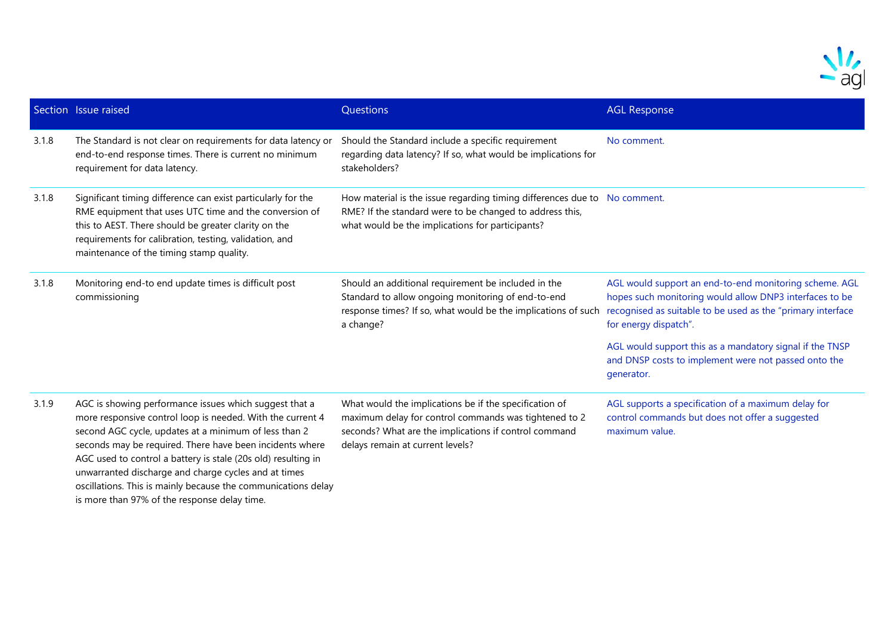

|       | Section Issue raised                                                                                                                                                                                                                                                                                      | Questions                                                                                                                                                                                                    | <b>AGL Response</b>                                                                                                                                                                                       |
|-------|-----------------------------------------------------------------------------------------------------------------------------------------------------------------------------------------------------------------------------------------------------------------------------------------------------------|--------------------------------------------------------------------------------------------------------------------------------------------------------------------------------------------------------------|-----------------------------------------------------------------------------------------------------------------------------------------------------------------------------------------------------------|
| 3.1.8 | The Standard is not clear on requirements for data latency or<br>end-to-end response times. There is current no minimum<br>requirement for data latency.                                                                                                                                                  | Should the Standard include a specific requirement<br>regarding data latency? If so, what would be implications for<br>stakeholders?                                                                         | No comment.                                                                                                                                                                                               |
| 3.1.8 | Significant timing difference can exist particularly for the<br>RME equipment that uses UTC time and the conversion of<br>this to AEST. There should be greater clarity on the<br>requirements for calibration, testing, validation, and<br>maintenance of the timing stamp quality.                      | How material is the issue regarding timing differences due to No comment.<br>RME? If the standard were to be changed to address this,<br>what would be the implications for participants?                    |                                                                                                                                                                                                           |
| 3.1.8 | Monitoring end-to end update times is difficult post<br>commissioning                                                                                                                                                                                                                                     | Should an additional requirement be included in the<br>Standard to allow ongoing monitoring of end-to-end<br>response times? If so, what would be the implications of such<br>a change?                      | AGL would support an end-to-end monitoring scheme. AGL<br>hopes such monitoring would allow DNP3 interfaces to be<br>recognised as suitable to be used as the "primary interface<br>for energy dispatch". |
|       |                                                                                                                                                                                                                                                                                                           |                                                                                                                                                                                                              | AGL would support this as a mandatory signal if the TNSP<br>and DNSP costs to implement were not passed onto the<br>generator.                                                                            |
| 3.1.9 | AGC is showing performance issues which suggest that a<br>more responsive control loop is needed. With the current 4<br>second AGC cycle, updates at a minimum of less than 2<br>seconds may be required. There have been incidents where<br>ACC used to control a batton is stale (20s old) resulting in | What would the implications be if the specification of<br>maximum delay for control commands was tightened to 2<br>seconds? What are the implications if control command<br>delays remain at current levels? | AGL supports a specification of a maximum delay for<br>control commands but does not offer a suggested<br>maximum value.                                                                                  |

AGC used to control a battery is stale (20s old) resulting in unwarranted discharge and charge cycles and at times oscillations. This is mainly because the communications delay is more than 97% of the response delay time.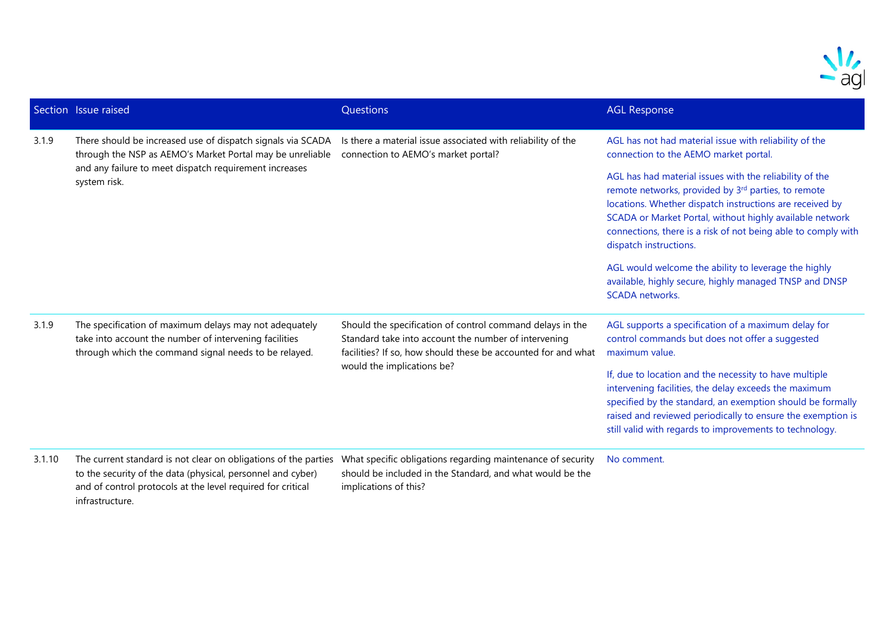

|        | Section Issue raised                                                                                                                                                                               | Questions                                                                                                                                                                                                        | <b>AGL Response</b>                                                                                                                                                                                                                                                                                                                           |
|--------|----------------------------------------------------------------------------------------------------------------------------------------------------------------------------------------------------|------------------------------------------------------------------------------------------------------------------------------------------------------------------------------------------------------------------|-----------------------------------------------------------------------------------------------------------------------------------------------------------------------------------------------------------------------------------------------------------------------------------------------------------------------------------------------|
| 3.1.9  | There should be increased use of dispatch signals via SCADA<br>through the NSP as AEMO's Market Portal may be unreliable<br>and any failure to meet dispatch requirement increases<br>system risk. | Is there a material issue associated with reliability of the<br>connection to AEMO's market portal?                                                                                                              | AGL has not had material issue with reliability of the<br>connection to the AEMO market portal.                                                                                                                                                                                                                                               |
|        |                                                                                                                                                                                                    |                                                                                                                                                                                                                  | AGL has had material issues with the reliability of the<br>remote networks, provided by 3 <sup>rd</sup> parties, to remote<br>locations. Whether dispatch instructions are received by<br>SCADA or Market Portal, without highly available network<br>connections, there is a risk of not being able to comply with<br>dispatch instructions. |
|        |                                                                                                                                                                                                    |                                                                                                                                                                                                                  | AGL would welcome the ability to leverage the highly<br>available, highly secure, highly managed TNSP and DNSP<br><b>SCADA</b> networks.                                                                                                                                                                                                      |
| 3.1.9  | The specification of maximum delays may not adequately<br>take into account the number of intervening facilities<br>through which the command signal needs to be relayed.                          | Should the specification of control command delays in the<br>Standard take into account the number of intervening<br>facilities? If so, how should these be accounted for and what<br>would the implications be? | AGL supports a specification of a maximum delay for<br>control commands but does not offer a suggested<br>maximum value.                                                                                                                                                                                                                      |
|        |                                                                                                                                                                                                    |                                                                                                                                                                                                                  | If, due to location and the necessity to have multiple<br>intervening facilities, the delay exceeds the maximum<br>specified by the standard, an exemption should be formally<br>raised and reviewed periodically to ensure the exemption is<br>still valid with regards to improvements to technology.                                       |
| 3.1.10 |                                                                                                                                                                                                    | The current standard is not clear on obligations of the parties  What specific obligations regarding maintenance of security                                                                                     | No comment.                                                                                                                                                                                                                                                                                                                                   |

to the security of the data (physical, personnel and cyber) and of control protocols at the level required for critical infrastructure.

should be included in the Standard, and what would be the implications of this?